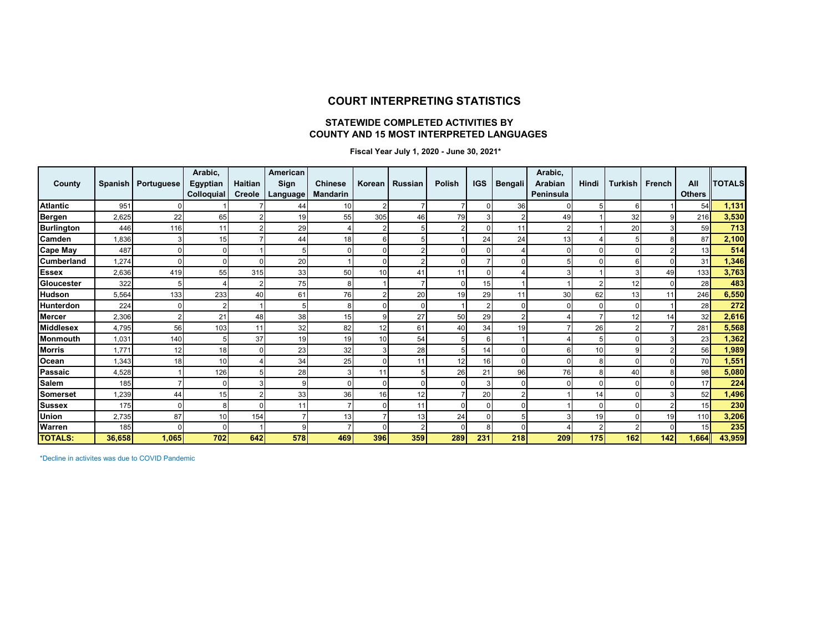#### **COURT INTERPRETING STATISTICS**

#### **STATEWIDE COMPLETED ACTIVITIES BY COUNTY AND 15 MOST INTERPRETED LANGUAGES**

 **Fiscal Year July 1, 2020 - June 30, 2021\***

| County            | <b>Spanish</b> | Portuguese | Arabic,<br>Egyptian<br>Colloquial | Haitian<br>Creole | American<br>Sign<br>Language | <b>Chinese</b><br><b>Mandarin</b> | Korean         | <b>Russian</b> | Polish   | <b>IGS</b> | <b>Bengali</b> | Arabic,<br>Arabian<br>Peninsula | Hindi           | <b>Turkish</b> | French | All<br><b>Others</b> | <b>TOTALS</b> |
|-------------------|----------------|------------|-----------------------------------|-------------------|------------------------------|-----------------------------------|----------------|----------------|----------|------------|----------------|---------------------------------|-----------------|----------------|--------|----------------------|---------------|
| <b>Atlantic</b>   | 951            |            |                                   |                   | 44                           | 10                                | $\overline{2}$ |                |          |            | 36             |                                 |                 | 6              |        | 54                   | 1,131         |
| Bergen            | 2,625          | 22         | 65                                |                   | 19                           | 55                                | 305            | 46             | 79       |            |                | 49                              |                 | 32             |        | 216                  | 3,530         |
| <b>Burlington</b> | 446            | 116        | 11                                |                   | 29                           |                                   | $\overline{2}$ | 5              |          |            | 11             |                                 |                 | 20             |        | 59                   | 713           |
| Camden            | 0.836          |            | 15                                |                   | 44                           | 18                                | 6              | 5              |          | 24         | 24             | 13                              |                 |                |        | 87                   | 2,100         |
| <b>Cape May</b>   | 487            |            |                                   |                   | 5                            |                                   | 0              | 2              |          |            |                |                                 |                 |                |        | 13                   | 514           |
| Cumberland        | 1,274          |            |                                   |                   | 20                           |                                   | 0              | $\overline{2}$ |          |            | 0              |                                 |                 |                |        | 31                   | 1,346         |
| <b>Essex</b>      | 2,636          | 419        | 55                                | 315               | 33                           | 50                                | 10             | 41             | 11       |            |                |                                 |                 |                | 49     | 133                  | 3,763         |
| Gloucester        | 322            |            |                                   |                   | 75                           | 8                                 |                |                | $\Omega$ | 15         |                |                                 |                 | 12             |        | 28                   | 483           |
| Hudson            | 5,564          | 133        | 233                               | 40                | 61                           | 76                                | $\overline{2}$ | 20             | 19       | 29         | 11             | 30                              | 62              | 13             | 11     | 246                  | 6,550         |
| Hunterdon         | 224            |            |                                   |                   |                              | 8                                 | 0              | 0              |          |            | $\Omega$       |                                 |                 |                |        | 28                   | 272           |
| <b>Mercer</b>     | 2,306          |            | 21                                | 48                | 38                           | 15                                | 9              | 27             | 50       | 29         | $\overline{2}$ |                                 |                 | 12             | 14     | 32                   | 2,616         |
| <b>Middlesex</b>  | 4,795          | 56         | 103                               | 11                | 32                           | 82                                | 12             | 61             | 40       | 34         | 19             |                                 | 26              |                |        | 281                  | 5,568         |
| Monmouth          | 1.031          | 140        |                                   | 37                | 19                           | 19                                | 10             | 54             | 5        | 6          |                |                                 |                 |                |        | 23                   | 1,362         |
| <b>Morris</b>     | 1.771          | 12         | 18                                |                   | 23                           | 32                                | 3              | 28             | 5        | 14         | $\Omega$       |                                 | 10              |                |        | 56                   | 1,989         |
| Ocean             | 1,343          | 18         | 10                                |                   | 34                           | 25                                | $\Omega$       | 11             | 12       | 16         | $\Omega$       |                                 | 8               |                |        | 70                   | 1,551         |
| Passaic           | 4,528          |            | 126                               |                   | 28                           |                                   | 11             | 5              | 26       | 21         | 96             | 76                              |                 | 40             |        | 98                   | 5,080         |
| <b>Salem</b>      | 185            |            |                                   |                   | 9                            | $\Omega$                          | $\Omega$       | 0              |          |            |                |                                 |                 |                |        | 17                   | 224           |
| <b>Somerset</b>   | 1,239          | 44         | 15                                |                   | 33                           | 36                                | 16             | 12             |          | 20         | $\overline{2}$ |                                 | 14 <sub>1</sub> |                |        | 52                   | 1,496         |
| <b>Sussex</b>     | 175            |            | 8                                 |                   | 11                           |                                   | 0              | 11             | O        |            | O              |                                 |                 |                |        | 15                   | 230           |
| Union             | 2,735          | 87         | 10                                | 154               |                              | 13                                |                | 13             | 24       |            | 5              |                                 | 19              |                | 19     | 110                  | 3,206         |
| Warren            | 185            |            |                                   |                   | 9                            |                                   | $\Omega$       | $\overline{2}$ |          | 8          |                |                                 |                 |                |        | 15                   | 235           |
| <b>TOTALS:</b>    | 36,658         | 1,065      | 702                               | 642               | 578                          | 469                               | 396            | 359            | 289      | 231        | 218            | 209                             | 175             | 162            | 142    | 1,664                | 43,959        |

\*Decline in activites was due to COVID Pandemic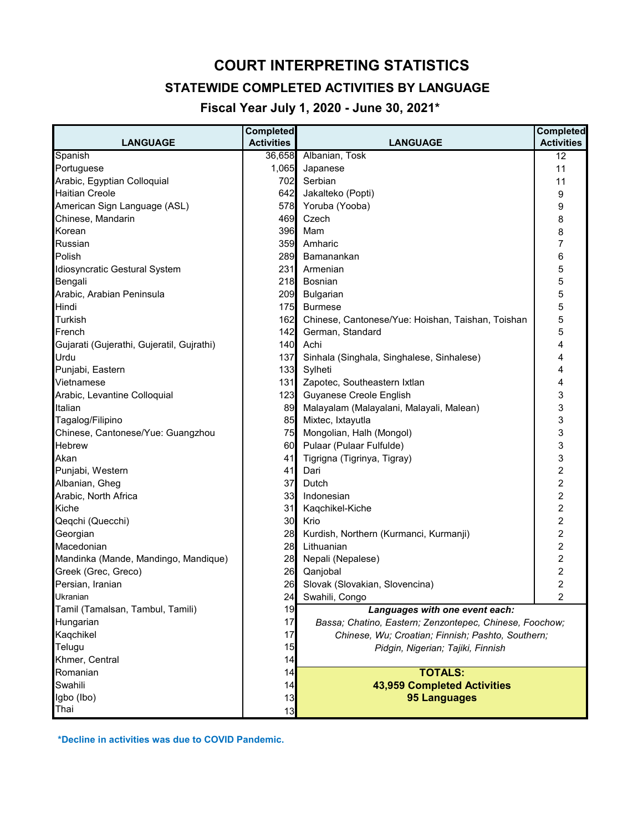# **COURT INTERPRETING STATISTICS**

## **STATEWIDE COMPLETED ACTIVITIES BY LANGUAGE**

 **Fiscal Year July 1, 2020 - June 30, 2021\***

| <b>LANGUAGE</b>                           | <b>Completed</b><br><b>Activities</b> | <b>LANGUAGE</b>                                         | <b>Completed</b><br><b>Activities</b> |  |
|-------------------------------------------|---------------------------------------|---------------------------------------------------------|---------------------------------------|--|
| Spanish                                   | 36,658                                | Albanian, Tosk                                          | 12                                    |  |
| Portuguese                                | 1,065                                 | Japanese                                                | 11                                    |  |
| Arabic, Egyptian Colloquial               | 702                                   | Serbian                                                 | 11                                    |  |
| <b>Haitian Creole</b>                     | 642                                   | Jakalteko (Popti)                                       | 9                                     |  |
| American Sign Language (ASL)              | 578                                   | Yoruba (Yooba)                                          | 9                                     |  |
| Chinese, Mandarin                         | 469                                   | Czech                                                   | 8                                     |  |
| Korean                                    | 396                                   | Mam                                                     | 8                                     |  |
| Russian                                   | 359                                   | Amharic                                                 | 7                                     |  |
| Polish                                    | 289                                   | Bamanankan                                              | 6                                     |  |
| Idiosyncratic Gestural System             | 231                                   | Armenian                                                | 5                                     |  |
| Bengali                                   | 218                                   | Bosnian                                                 | 5                                     |  |
| Arabic, Arabian Peninsula                 | 209                                   | Bulgarian                                               | 5                                     |  |
| Hindi                                     | 175                                   | <b>Burmese</b>                                          | 5                                     |  |
| <b>Turkish</b>                            | 162                                   | Chinese, Cantonese/Yue: Hoishan, Taishan, Toishan       | 5                                     |  |
| French                                    | 142                                   | German, Standard                                        | 5                                     |  |
| Gujarati (Gujerathi, Gujeratil, Gujrathi) | 140                                   | Achi                                                    | 4                                     |  |
| Urdu                                      | 137                                   | Sinhala (Singhala, Singhalese, Sinhalese)               | 4                                     |  |
| Punjabi, Eastern                          | 133                                   | Sylheti                                                 | 4                                     |  |
| Vietnamese                                | $131$                                 | Zapotec, Southeastern Ixtlan                            | 4                                     |  |
| Arabic, Levantine Colloquial              | 123                                   | Guyanese Creole English                                 | 3                                     |  |
| Italian                                   | 89                                    | Malayalam (Malayalani, Malayali, Malean)                | 3                                     |  |
| Tagalog/Filipino                          | 85                                    | Mixtec, Ixtayutla                                       | 3                                     |  |
| Chinese, Cantonese/Yue: Guangzhou         | 75                                    | Mongolian, Halh (Mongol)                                | 3                                     |  |
| <b>Hebrew</b>                             | 60                                    | Pulaar (Pulaar Fulfulde)                                | 3                                     |  |
| Akan                                      | 41                                    | Tigrigna (Tigrinya, Tigray)                             | 3                                     |  |
| Punjabi, Western                          | 41                                    | Dari                                                    | $\overline{c}$                        |  |
| Albanian, Gheg                            | 37                                    | Dutch                                                   | $\overline{c}$                        |  |
| Arabic, North Africa                      | 33                                    | Indonesian                                              | 2                                     |  |
| Kiche                                     | 31                                    | Kaqchikel-Kiche                                         | 2                                     |  |
| Qeqchi (Quecchi)                          | 30                                    | Krio                                                    | 2                                     |  |
| Georgian                                  | 28                                    | Kurdish, Northern (Kurmanci, Kurmanji)                  | 2                                     |  |
| Macedonian                                | 28                                    | Lithuanian                                              | $\overline{\mathbf{c}}$               |  |
| Mandinka (Mande, Mandingo, Mandique)      | 28                                    | Nepali (Nepalese)                                       | $\overline{c}$                        |  |
| Greek (Grec, Greco)                       | 26                                    | Qanjobal                                                | 2                                     |  |
| Persian, Iranian                          | 26                                    | Slovak (Slovakian, Slovencina)                          | $\overline{c}$                        |  |
| Ukranian                                  | 24                                    | Swahili, Congo                                          | 2                                     |  |
| Tamil (Tamalsan, Tambul, Tamili)          | 19                                    | Languages with one event each:                          |                                       |  |
| Hungarian                                 | 17                                    | Bassa; Chatino, Eastern; Zenzontepec, Chinese, Foochow; |                                       |  |
| Kaqchikel                                 | 17                                    | Chinese, Wu; Croatian; Finnish; Pashto, Southern;       |                                       |  |
| Telugu                                    | 15                                    | Pidgin, Nigerian; Tajiki, Finnish                       |                                       |  |
| Khmer, Central                            | 14                                    |                                                         |                                       |  |
| Romanian                                  | 14                                    | <b>TOTALS:</b>                                          |                                       |  |
| Swahili                                   | 14                                    | 43,959 Completed Activities                             |                                       |  |
| Igbo (Ibo)                                | 13                                    | <b>95 Languages</b>                                     |                                       |  |
| Thai                                      | 13                                    |                                                         |                                       |  |

 **\*Decline in activities was due to COVID Pandemic.**